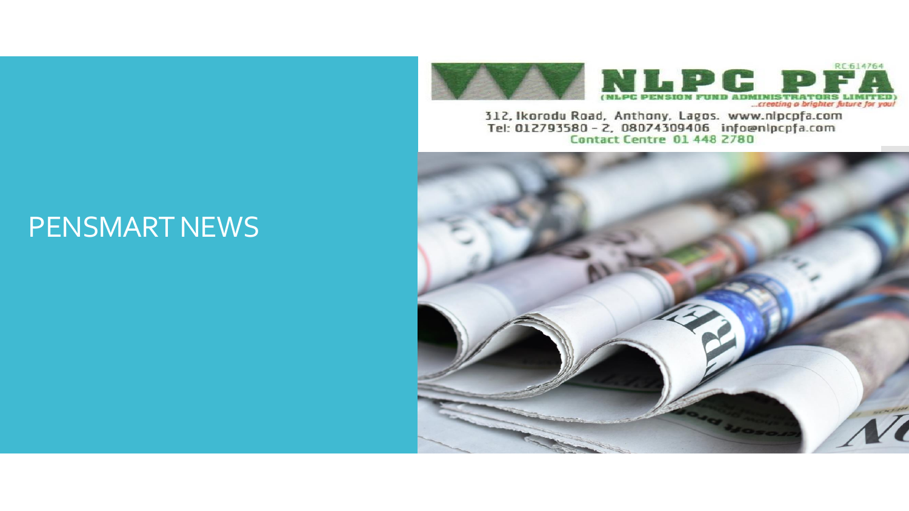

312, Ikorodu Road, Anthony, Lagos. www.nlpcpfa.com Tel: 012793580 - 2, 08074309406 information Contact Centre 01 448 2780



### PENSMART NEWS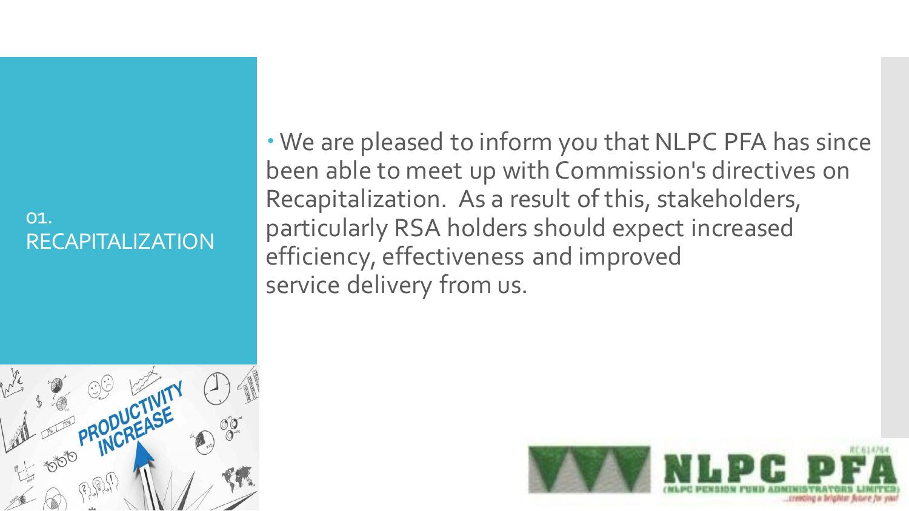#### 01. RECAPITALIZATION

 We are pleased to inform you that NLPC PFA has since been able to meet up with Commission's directives on Recapitalization. As a result of this, stakeholders, particularly RSA holders should expect increased efficiency, effectiveness and improved service delivery from us.



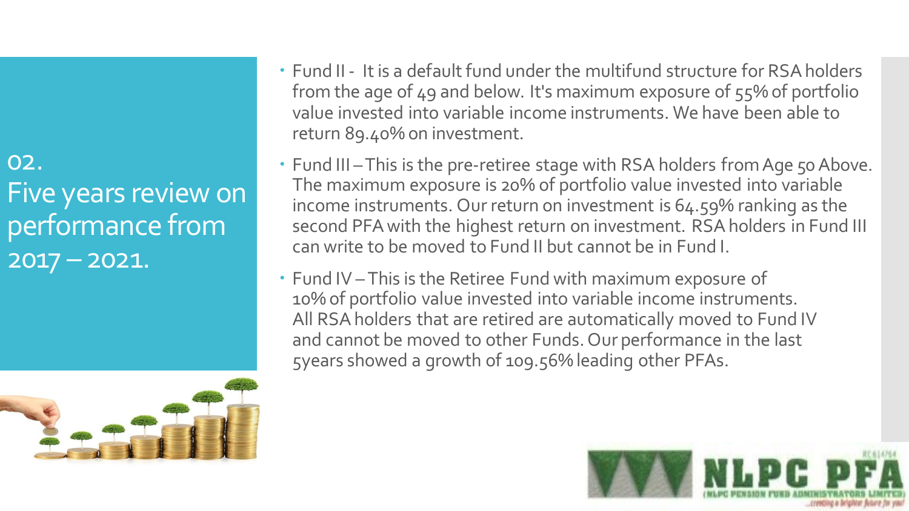02. Five years review on performance from  $2017 - 2021.$ 



- Fund II It is a default fund under the multifund structure for RSA holders from the age of 49 and below. It's maximum exposure of 55% of portfolio value invested into variable income instruments. We have been able to return 89.40% on investment.
- Fund III This is the pre-retiree stage with RSA holders from Age 50 Above. The maximum exposure is 20% of portfolio value invested into variable income instruments. Our return on investment is 64.59% ranking as the second PFA with the highest return on investment. RSA holders in Fund III can write to be moved to Fund II but cannot be in Fund I.
- Fund IV This is the Retiree Fund with maximum exposure of 10% of portfolio value invested into variable income instruments. All RSA holders that are retired are automatically moved to Fund IV and cannot be moved to other Funds. Our performance in the last 5years showed a growth of 109.56% leading other PFAs.

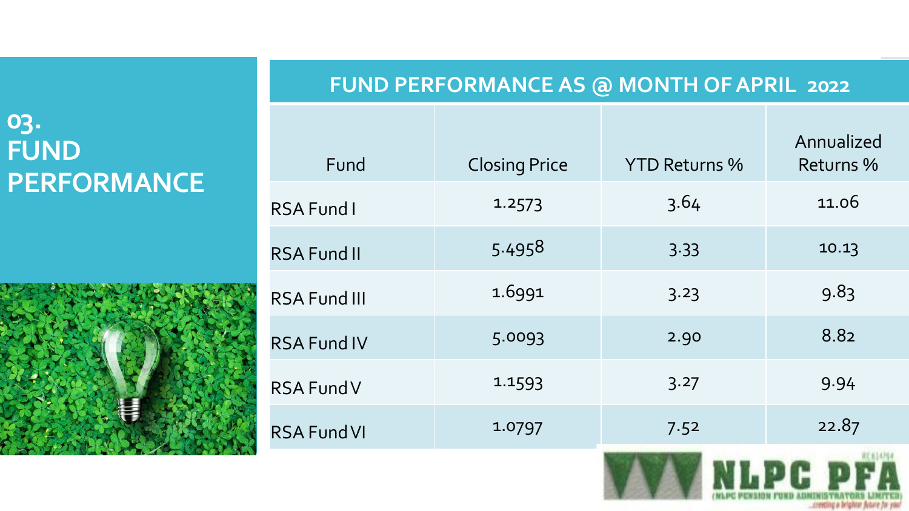#### **03. FUND PERFORMANCE**



#### **FUND PERFORMANCE AS @ MONTH OF APRIL 2022**

| Fund                | <b>Closing Price</b> | <b>YTD Returns %</b> | Annualized<br><b>Returns %</b> |  |
|---------------------|----------------------|----------------------|--------------------------------|--|
| <b>RSA Fund I</b>   | 1.2573               | 3.64                 | 11.06                          |  |
| <b>RSA Fund II</b>  | 5.4958               | 3.33                 | 10.13                          |  |
| <b>RSA Fund III</b> | 1.6991               | 3.23                 | 9.83                           |  |
| <b>RSA Fund IV</b>  | 5.0093               | 2.90                 | 8.82                           |  |
| <b>RSA Fund V</b>   | 1 1 5 9 3            | 3.27                 | 9.94                           |  |
| <b>RSA Fund VI</b>  | 1.0797               | 7.52                 | 22.87                          |  |
|                     |                      |                      |                                |  |

creecing a brighter five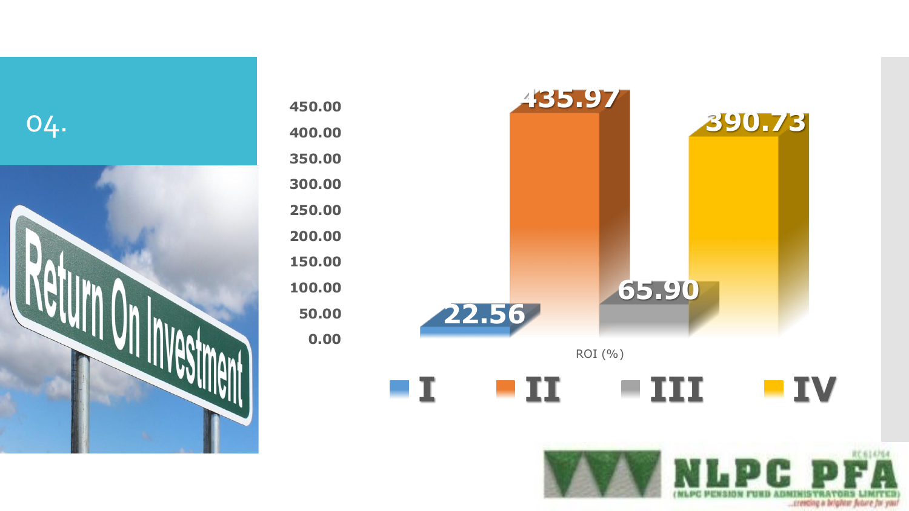

| 450.00 |                                                                            |       | 435.97  |       |           |
|--------|----------------------------------------------------------------------------|-------|---------|-------|-----------|
| 400.00 |                                                                            |       |         |       | 390.73    |
| 350.00 |                                                                            |       |         |       |           |
| 300.00 |                                                                            |       |         |       |           |
| 250.00 |                                                                            |       |         |       |           |
| 200.00 |                                                                            |       |         |       |           |
| 150.00 |                                                                            |       |         |       |           |
| 100.00 |                                                                            |       |         | 65.90 |           |
| 50.00  |                                                                            | 22.56 |         |       |           |
| 0.00   |                                                                            |       |         |       |           |
|        |                                                                            |       | ROI (%) |       |           |
|        | $\mathbf{\mathbf{\mathbf{\mathbf{\mathbf{\mathbf{\mathbf{\mathbf{1}}}}}}}$ | п     |         | HI    | <b>IV</b> |

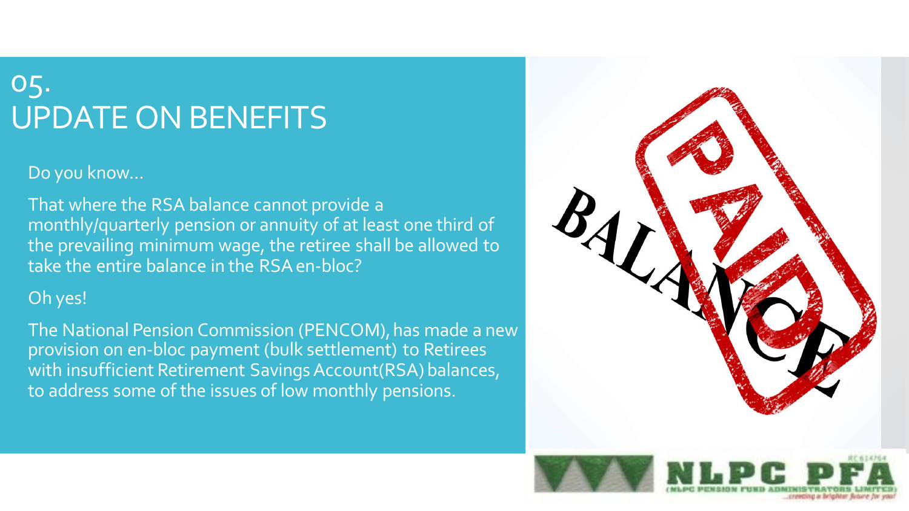# 05. UPDATE ON BENEFITS

Do you know...

 That where the RSA balance cannot provide a monthly/quarterly pension or annuity of at least one third of the prevailing minimum wage, the retiree shall be allowed to take the entire balance in the RSAen-bloc?

#### Oh yes!

 The National Pension Commission (PENCOM), has made a new provision on en-bloc payment (bulk settlement) to Retirees with insufficient Retirement Savings Account(RSA) balances, to address some of the issues of low monthly pensions.

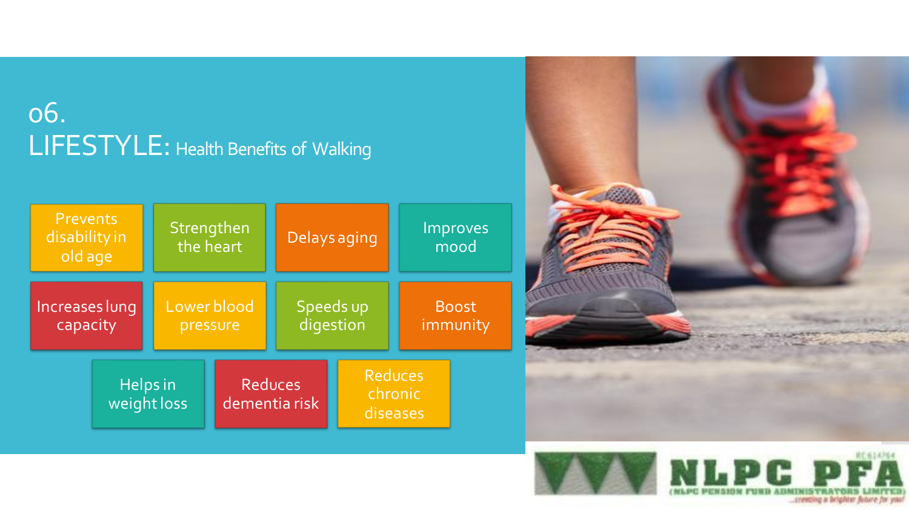# 06. LIFESTYLE: Health Benefits of Walking

| <b>Prevents</b><br>disability in<br>old age |  | Strengthen<br>the heart         |  | Delays aging                          |  | Improves<br>mood         |  |
|---------------------------------------------|--|---------------------------------|--|---------------------------------------|--|--------------------------|--|
| Increases lung<br>capacity                  |  | Lower blood<br>pressure         |  | Speeds up<br>digestion                |  | <b>Boost</b><br>immunity |  |
| Helps in<br>weight loss                     |  | <b>Reduces</b><br>dementia risk |  | <b>Reduces</b><br>chronic<br>diseases |  |                          |  |



..creeding a brighter future for you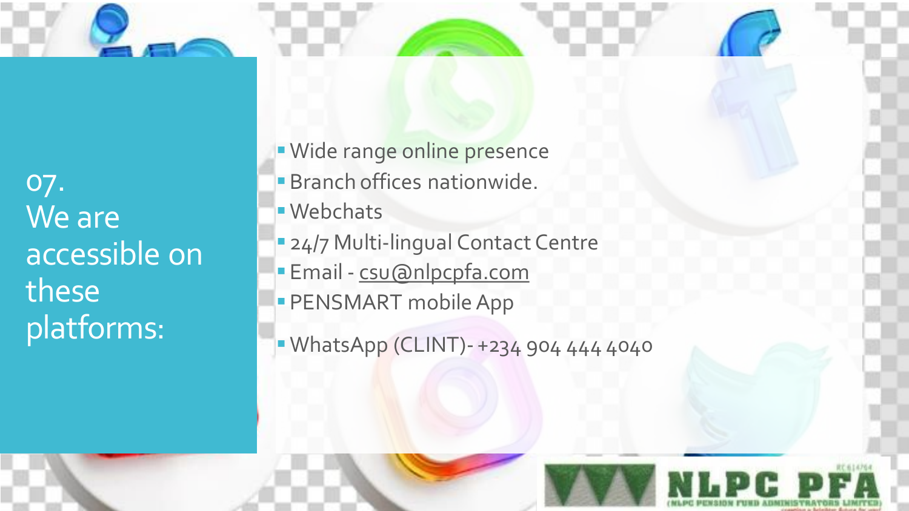07. We are accessible on these platforms:

**Wide range online presence Branch offices nationwide. Webchats 24/7 Multi-lingual Contact Centre Email - [csu@nlpcpfa.com](mailto:csu@nlpcpfa.com) PENSMART mobile App** 

**· WhatsApp (CLINT)- +234 904 444 4040**